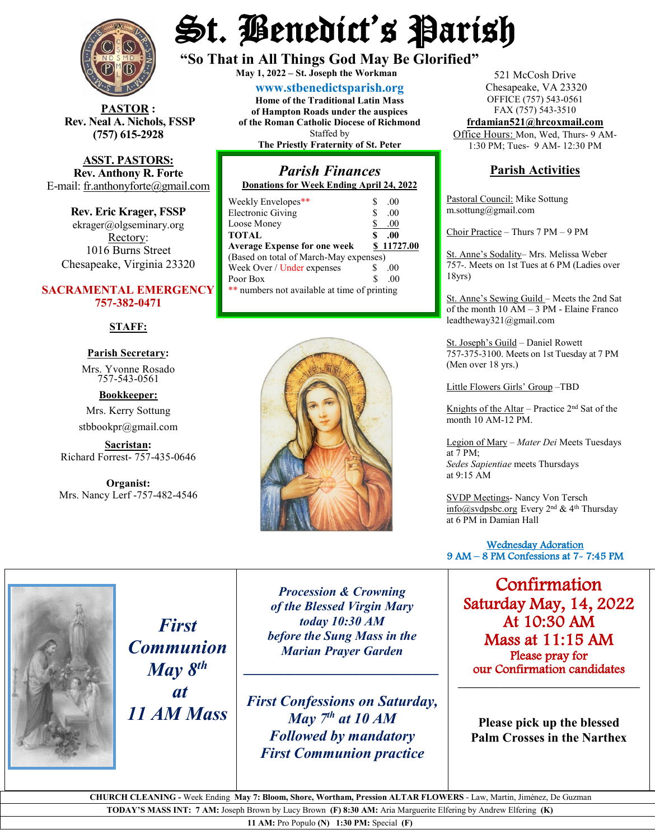

 $\textbf{STOR}:$ **Rev. Neal A. Nichols, FSSP (757) 615-2928** 

**ASST. PASTORS: Rev. Anthony R. Forte** E-mail: [fr.anthonyforte@gmail.com](mailto:fr.anthonyforte@gmail.com)

**Rev. Eric Krager, FSSP** ekrager@olgseminary.org Rectory: 1016 Burns Street Chesapeake, Virginia 23320

### **SACRAMENTAL EMERGENCY 757-382-0471**

#### **STAFF:**

# **Parish Secretary:**

Mrs. Yvonne Rosado757-543-0561

**Bookkeeper:** Mrs. Kerry Sottung stbbookpr@gmail.com

**Sacristan:**  Richard Forrest- 757-435-0646

**Organist:** Mrs. Nancy Lerf -757-482-4546

# St. Benedict's Parish

**"So That in All Things God May Be Glorified" May 1, <sup>2022</sup> – St. Joseph the Workman**

**[www.stbenedictsparish.org](http://www.stbenedictsparish.org/) Home of the Traditional Latin Mass of Hampton Roads under the auspices of the Roman Catholic Diocese of Richmond** Staffed by **The Priestly Fraternity of St. Peter**

## *Parish Finances* **Donations for Week Ending April 24, 2022**

| Weekly Envelopes**                           | S  | .00.       |
|----------------------------------------------|----|------------|
| <b>Electronic Giving</b>                     | \$ | .00.       |
| Loose Money                                  | \$ | .00        |
| <b>TOTAL</b>                                 | \$ | .00        |
| <b>Average Expense for one week</b>          |    | \$11727.00 |
| (Based on total of March-May expenses)       |    |            |
| Week Over / Under expenses                   | S  | .00.       |
| Poor Box                                     | S  | .00        |
| ** numbers not available at time of printing |    |            |
|                                              |    |            |



521 McCosh Drive Chesapeake, VA 23320 OFFICE (757) 543-0561 FAX (757) 543-3510 **[frdamian521@hrcoxmail.com](mailto:frdamian521@hrcoxmail.com)**

Office Hours: Mon, Wed, Thurs- 9 AM-1:30 PM; Tues- 9 AM- 12:30 PM

## **Parish Activities**

Pastoral Council: Mike Sottung m.sottung@gmail.com

Choir Practice – Thurs 7 PM – 9 PM

St. Anne's Sodality– Mrs. Melissa Weber 757-. Meets on 1st Tues at 6 PM (Ladies over 18yrs)

St. Anne's Sewing Guild – Meets the 2nd Sat of the month 10 AM – 3 PM - Elaine Franco leadtheway321@gmail.com

St. Joseph's Guild – Daniel Rowett 757-375-3100. Meets on 1st Tuesday at 7 PM (Men over 18 yrs.)

Little Flowers Girls' Group –TBD

Knights of the Altar – Practice  $2<sup>nd</sup>$  Sat of the month 10 AM-12 PM.

Legion of Mary – *Mater Dei* Meets Tuesdays at 7 PM; *Sedes Sapientiae* meets Thursdays at 9:15 AM

SVDP Meetings- Nancy Von Tersch [info@svdpsbc.org](mailto:info@svdpsbc.org) Every  $2<sup>nd</sup>$  & 4<sup>th</sup> Thursday at 6 PM in Damian Hall

 Wednesday Adoration 9 AM – 8 PM Confessions at 7- 7:45 PM l

Confirmation Saturday May, 14, 2022 At 10:30 AM Mass at 11:15 AM Please pray for our Confirmation candidates **\_\_\_\_\_\_\_\_\_\_\_\_\_\_\_\_\_\_\_\_\_\_\_\_\_\_\_\_\_\_\_\_\_\_**

**Please pick up the blessed Palm Crosses in the Narthex**

*First Communion May 8th at 11 AM Mass*

*Procession & Crowning of the Blessed Virgin Mary today 10:30 AM before the Sung Mass in the Marian Prayer Garden*

*\_\_\_\_\_\_\_\_\_\_\_\_\_\_\_\_\_\_\_\_\_\_\_\_\_\_*

*First Confessions on Saturday, May 7th at 10 AM Followed by mandatory First Communion practice*

 **CHURCH CLEANING -** Week Ending **May 7: Bloom, Shore, Wortham, Pression ALTAR FLOWERS** - Law, Martin, Jiménez, De Guzman

**TODAY'S MASS INT: 7 AM:** Joseph Brown by Lucy Brown **(F) 8:30 AM:** Aria Marguerite Elfering by Andrew Elfering **(K)**

**11 AM:** Pro Populo **(N) 1:30 PM:** Special **(F)**